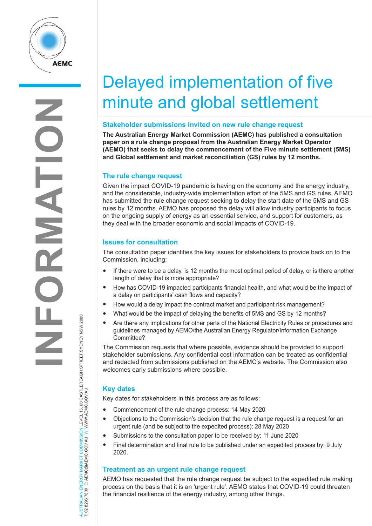

# Delayed implementation of five minute and global settlement

#### **Stakeholder submissions invited on new rule change request**

**The Australian Energy Market Commission (AEMC) has published a consultation paper on a rule change proposal from the Australian Energy Market Operator (AEMO) that seeks to delay the commencement of the Five minute settlement (5MS) and Global settlement and market reconciliation (GS) rules by 12 months.** 

## **The rule change request**

Given the impact COVID-19 pandemic is having on the economy and the energy industry, and the considerable, industry-wide implementation effort of the 5MS and GS rules, AEMO has submitted the rule change request seeking to delay the start date of the 5MS and GS rules by 12 months. AEMO has proposed the delay will allow industry participants to focus on the ongoing supply of energy as an essential service, and support for customers, as they deal with the broader economic and social impacts of COVID-19.

#### **Issues for consultation**

The consultation paper identifies the key issues for stakeholders to provide back on to the Commission, including:

- If there were to be a delay, is 12 months the most optimal period of delay, or is there another length of delay that is more appropriate?
- How has COVID-19 impacted participants financial health, and what would be the impact of a delay on participants' cash flows and capacity?
- How would a delay impact the contract market and participant risk management?
- What would be the impact of delaying the benefits of 5MS and GS by 12 months?
- Are there any implications for other parts of the National Electricity Rules or procedures and guidelines managed by AEMO/the Australian Energy Regulator/Information Exchange Committee?

The Commission requests that where possible, evidence should be provided to support stakeholder submissions. Any confidential cost information can be treated as confidential and redacted from submissions published on the AEMC's website. The Commission also welcomes early submissions where possible.

## **Key dates**

Key dates for stakeholders in this process are as follows:

- Commencement of the rule change process: 14 May 2020
- Objections to the Commission's decision that the rule change request is a request for an urgent rule (and be subject to the expedited process): 28 May 2020
- Submissions to the consultation paper to be received by: 11 June 2020
- Final determination and final rule to be published under an expedited process by: 9 July 2020.

## **Treatment as an urgent rule change request**

AEMO has requested that the rule change request be subject to the expedited rule making process on the basis that it is an 'urgent rule'. AEMO states that COVID-19 could threaten the financial resilience of the energy industry, among other things.

AUSTRALIAN ENERGY MARKET COMMISSION LEVEL 15, 60 CASTLEREAGH STREET SYDNEY NSW 2000<br>T: 02 8296 7800 E: AEMC@AEMC.GOV.AU W: WWW.AEMC.GOV.AU AUSTRALIAN ENERGY MARKET COMMISSION LEVEL 15, 60 CASTLEREAGH STREET SYDNEY NSW 2000 T: 02 8296 7800 E: AEMC@AEMC.GOV.AU W: WWW.AEMC.GOV.AU